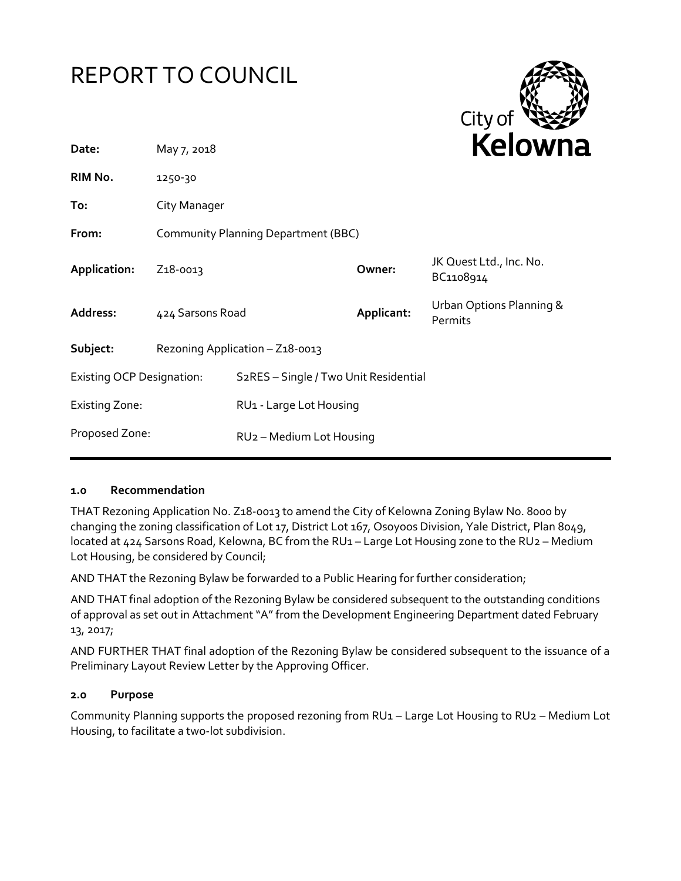# REPORT TO COUNCIL



| Date:                            | May 7, 2018                         |                                       |            | <b>NEIUWII</b>                       |
|----------------------------------|-------------------------------------|---------------------------------------|------------|--------------------------------------|
| RIM No.                          | 1250-30                             |                                       |            |                                      |
| To:                              | City Manager                        |                                       |            |                                      |
| From:                            | Community Planning Department (BBC) |                                       |            |                                      |
| Application:                     | Z <sub>1</sub> 8-0013               |                                       | Owner:     | JK Quest Ltd., Inc. No.<br>BC1108914 |
| <b>Address:</b>                  | 424 Sarsons Road                    |                                       | Applicant: | Urban Options Planning &<br>Permits  |
| Subject:                         | Rezoning Application - Z18-0013     |                                       |            |                                      |
| <b>Existing OCP Designation:</b> |                                     | S2RES - Single / Two Unit Residential |            |                                      |
| <b>Existing Zone:</b>            |                                     | RU1 - Large Lot Housing               |            |                                      |
| Proposed Zone:                   |                                     | RU <sub>2</sub> - Medium Lot Housing  |            |                                      |
|                                  |                                     |                                       |            |                                      |

# **1.0 Recommendation**

THAT Rezoning Application No. Z18-0013 to amend the City of Kelowna Zoning Bylaw No. 8000 by changing the zoning classification of Lot 17, District Lot 167, Osoyoos Division, Yale District, Plan 8049, located at 424 Sarsons Road, Kelowna, BC from the RU1 - Large Lot Housing zone to the RU2 - Medium Lot Housing, be considered by Council;

AND THAT the Rezoning Bylaw be forwarded to a Public Hearing for further consideration;

AND THAT final adoption of the Rezoning Bylaw be considered subsequent to the outstanding conditions of approval as set out in Attachment "A"from the Development Engineering Department dated February 13, 2017;

AND FURTHER THAT final adoption of the Rezoning Bylaw be considered subsequent to the issuance of a Preliminary Layout Review Letter by the Approving Officer.

#### **2.0 Purpose**

Community Planning supports the proposed rezoning from RU1 – Large Lot Housing to RU2 – Medium Lot Housing, to facilitate a two-lot subdivision.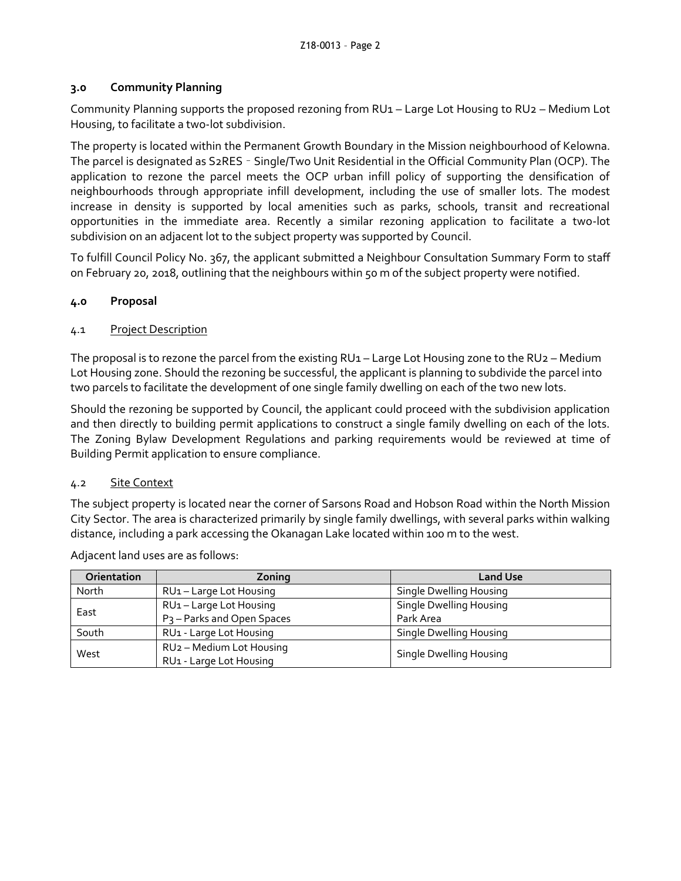# **3.0 Community Planning**

Community Planning supports the proposed rezoning from RU1 – Large Lot Housing to RU2 – Medium Lot Housing, to facilitate a two-lot subdivision.

The property is located within the Permanent Growth Boundary in the Mission neighbourhood of Kelowna. The parcel is designated as S2RES – Single/Two Unit Residential in the Official Community Plan (OCP). The application to rezone the parcel meets the OCP urban infill policy of supporting the densification of neighbourhoods through appropriate infill development, including the use of smaller lots. The modest increase in density is supported by local amenities such as parks, schools, transit and recreational opportunities in the immediate area. Recently a similar rezoning application to facilitate a two-lot subdivision on an adjacent lot to the subject property was supported by Council.

To fulfill Council Policy No. 367, the applicant submitted a Neighbour Consultation Summary Form to staff on February 20, 2018, outlining that the neighbours within 50 m of the subject property were notified.

# **4.0 Proposal**

# 4.1 Project Description

The proposal is to rezone the parcel from the existing RU1 – Large Lot Housing zone to the RU2 – Medium Lot Housing zone. Should the rezoning be successful, the applicant is planning to subdivide the parcel into two parcels to facilitate the development of one single family dwelling on each of the two new lots.

Should the rezoning be supported by Council, the applicant could proceed with the subdivision application and then directly to building permit applications to construct a single family dwelling on each of the lots. The Zoning Bylaw Development Regulations and parking requirements would be reviewed at time of Building Permit application to ensure compliance.

# 4.2 Site Context

The subject property is located near the corner of Sarsons Road and Hobson Road within the North Mission City Sector. The area is characterized primarily by single family dwellings, with several parks within walking distance, including a park accessing the Okanagan Lake located within 100 m to the west.

| <b>Orientation</b> | Zoning                                 | <b>Land Use</b>                |
|--------------------|----------------------------------------|--------------------------------|
| North              | RU1-Large Lot Housing                  | Single Dwelling Housing        |
| East               | RU1-Large Lot Housing                  | <b>Single Dwelling Housing</b> |
|                    | P <sub>3</sub> - Parks and Open Spaces | Park Area                      |
| South              | RU1 - Large Lot Housing                | Single Dwelling Housing        |
| West               | RU2 - Medium Lot Housing               |                                |
|                    | RU1 - Large Lot Housing                | Single Dwelling Housing        |

Adjacent land uses are as follows: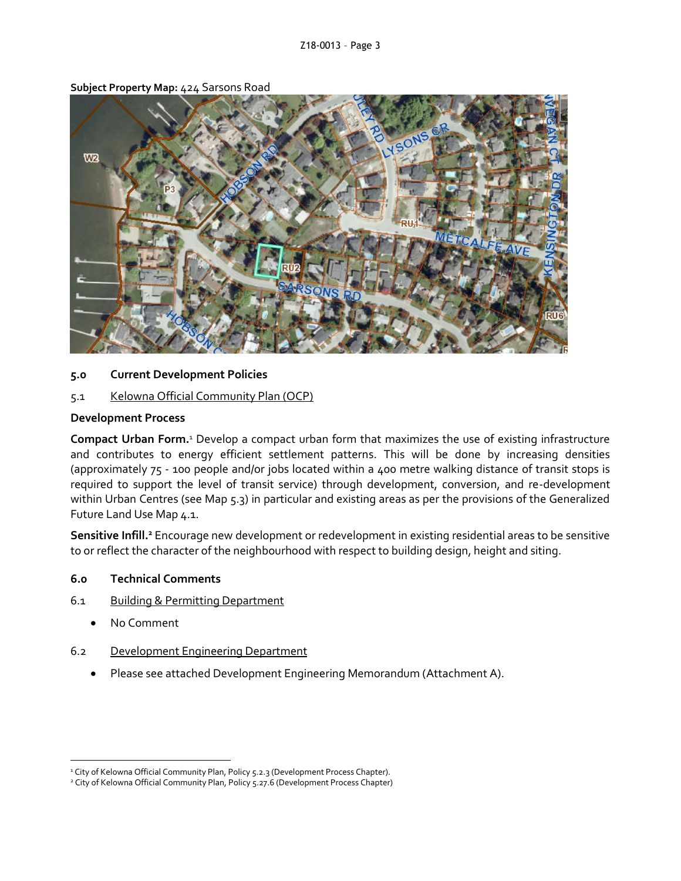

**Subject Property Map:** 424 Sarsons Road

#### **5.0 Current Development Policies**

#### 5.1 Kelowna Official Community Plan (OCP)

#### **Development Process**

**Compact Urban Form.**<sup>1</sup> Develop a compact urban form that maximizes the use of existing infrastructure and contributes to energy efficient settlement patterns. This will be done by increasing densities (approximately 75 - 100 people and/or jobs located within a 400 metre walking distance of transit stops is required to support the level of transit service) through development, conversion, and re-development within Urban Centres (see Map 5.3) in particular and existing areas as per the provisions of the Generalized Future Land Use Map 4.1.

**Sensitive Infill.<sup>2</sup>** Encourage new development or redevelopment in existing residential areas to be sensitive to or reflect the character of the neighbourhood with respect to building design, height and siting.

#### **6.0 Technical Comments**

- 6.1 Building & Permitting Department
	- No Comment

1

- 6.2 Development Engineering Department
	- Please see attached Development Engineering Memorandum (Attachment A).

<sup>&</sup>lt;sup>1</sup> City of Kelowna Official Community Plan, Policy 5.2.3 (Development Process Chapter).

<sup>&</sup>lt;sup>2</sup> City of Kelowna Official Community Plan, Policy 5.27.6 (Development Process Chapter)